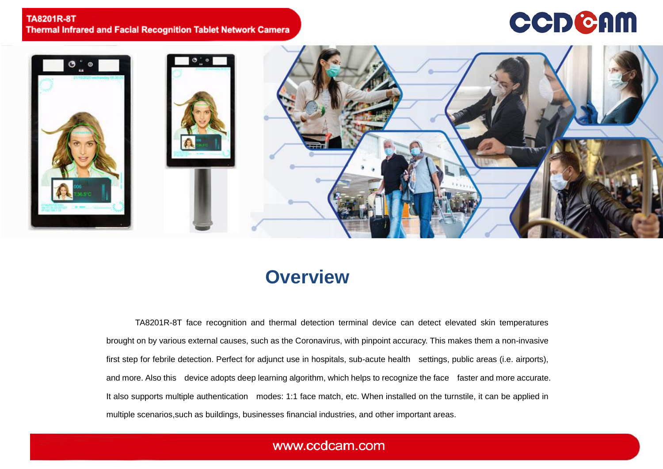### **TA8201R-8T Thermal Infrared and Facial Recognition Tablet Network Camera**

# **CCDCAM**



## **Overview**

TA8201R-8T face recognition and thermal detection terminal device can detect elevated skin temperatures brought on by various external causes, such as the Coronavirus, with pinpoint accuracy. This makes them a non-invasive first step for febrile detection. Perfect for adjunct use in hospitals, sub-acute health settings, public areas (i.e. airports), and more. Also this device adopts deep learning algorithm, which helps to recognize the face faster and more accurate. It also supports multiple authentication modes: 1:1 face match, etc. When installed on the turnstile, it can be applied in multiple scenarios,such as buildings, businesses financial industries, and other important areas.

### www.ccdcam.com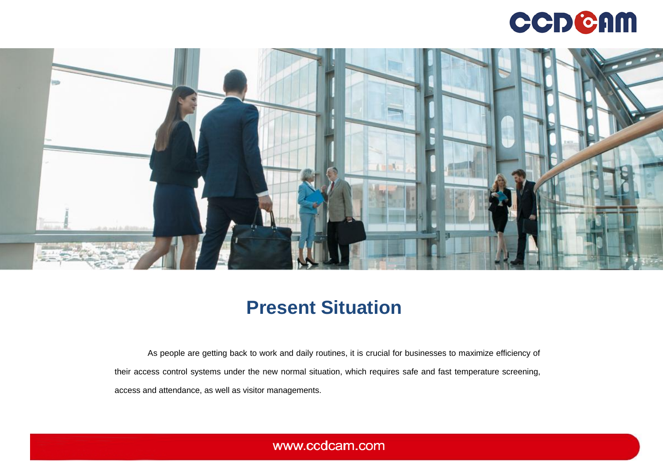



## **Present Situation**

As people are getting back to work and daily routines, it is crucial for businesses to maximize efficiency of their access control systems under the new normal situation, which requires safe and fast temperature screening, access and attendance, as well as visitor managements.

www.ccdcam.com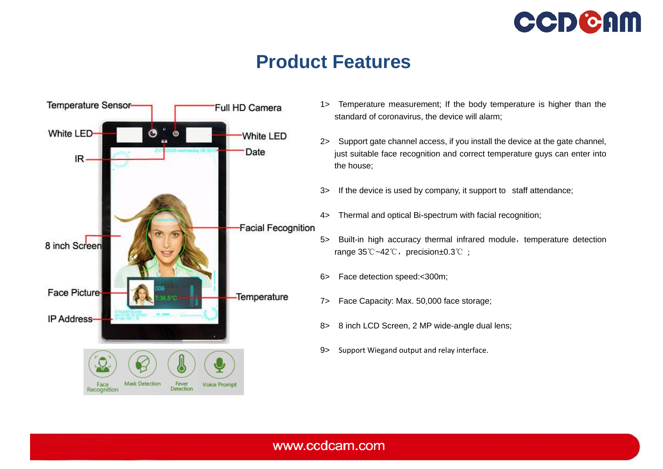

## **Product Features**



- 1> Temperature measurement; If the body temperature is higher than the standard of coronavirus, the device will alarm;
- 2> Support gate channel access, if you install the device at the gate channel, just suitable face recognition and correct temperature guys can enter into the house;
- 3> If the device is used by company, it support to staff attendance;
- 4> Thermal and optical Bi-spectrum with facial recognition;
- 5> Built-in high accuracy thermal infrared module, temperature detection range 35℃~42℃, precision±0.3℃;
- 6> Face detection speed:<300m;
- 7> Face Capacity: Max. 50,000 face storage;
- 8> 8 inch LCD Screen, 2 MP wide-angle dual lens;
- 9> Support Wiegand output and relay interface.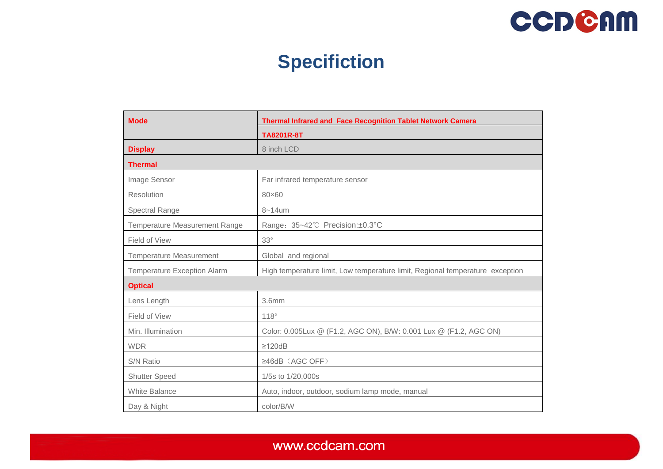

# **Specifiction**

| <b>Mode</b>                          | <b>Thermal Infrared and Face Recognition Tablet Network Camera</b>            |
|--------------------------------------|-------------------------------------------------------------------------------|
|                                      | <b>TA8201R-8T</b>                                                             |
| <b>Display</b>                       | 8 inch LCD                                                                    |
| <b>Thermal</b>                       |                                                                               |
| Image Sensor                         | Far infrared temperature sensor                                               |
| Resolution                           | 80×60                                                                         |
| Spectral Range                       | $8 - 14$ um                                                                   |
| <b>Temperature Measurement Range</b> | Range: 35~42°C Precision:±0.3°C                                               |
| Field of View                        | $33^\circ$                                                                    |
| <b>Temperature Measurement</b>       | Global and regional                                                           |
| <b>Temperature Exception Alarm</b>   | High temperature limit, Low temperature limit, Regional temperature exception |
| <b>Optical</b>                       |                                                                               |
| Lens Length                          | 3.6 <sub>mm</sub>                                                             |
| Field of View                        | $118^\circ$                                                                   |
| Min. Illumination                    | Color: 0.005Lux @ (F1.2, AGC ON), B/W: 0.001 Lux @ (F1.2, AGC ON)             |
| <b>WDR</b>                           | $\geq$ 120dB                                                                  |
| S/N Ratio                            | $\geq$ 46dB (AGC OFF)                                                         |
| <b>Shutter Speed</b>                 | 1/5s to 1/20,000s                                                             |
| <b>White Balance</b>                 | Auto, indoor, outdoor, sodium lamp mode, manual                               |
| Day & Night                          | color/B/W                                                                     |

www.ccdcam.com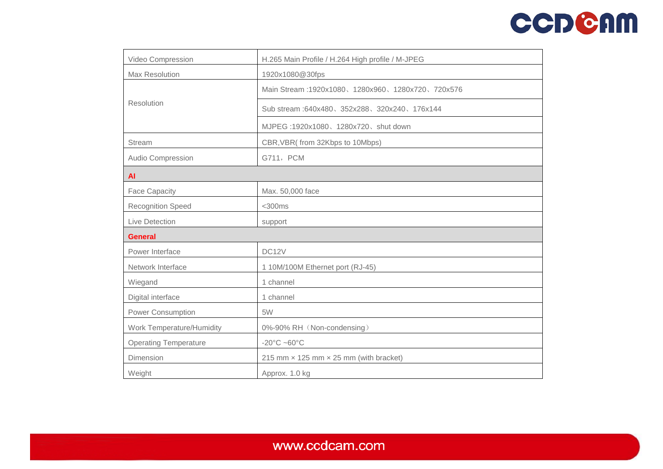# **CCDCAM**

| Video Compression            | H.265 Main Profile / H.264 High profile / M-JPEG     |
|------------------------------|------------------------------------------------------|
| Max Resolution               | 1920x1080@30fps                                      |
| Resolution                   | Main Stream: 1920x1080、1280x960、1280x720、720x576     |
|                              | Sub stream: 640x480, 352x288, 320x240, 176x144       |
|                              | MJPEG: 1920x1080、1280x720、shut down                  |
| <b>Stream</b>                | CBR, VBR(from 32Kbps to 10Mbps)                      |
| Audio Compression            | G711, PCM                                            |
| <b>AI</b>                    |                                                      |
| <b>Face Capacity</b>         | Max. 50,000 face                                     |
| <b>Recognition Speed</b>     | $<$ 300 $ms$                                         |
| Live Detection               | support                                              |
| <b>General</b>               |                                                      |
| Power Interface              | DC12V                                                |
| Network Interface            | 1 10M/100M Ethernet port (RJ-45)                     |
| Wiegand                      | 1 channel                                            |
| Digital interface            | 1 channel                                            |
| Power Consumption            | 5W                                                   |
| Work Temperature/Humidity    | 0%-90% RH (Non-condensing)                           |
| <b>Operating Temperature</b> | $-20^{\circ}$ C $-60^{\circ}$ C                      |
| Dimension                    | 215 mm $\times$ 125 mm $\times$ 25 mm (with bracket) |
| Weight                       | Approx. 1.0 kg                                       |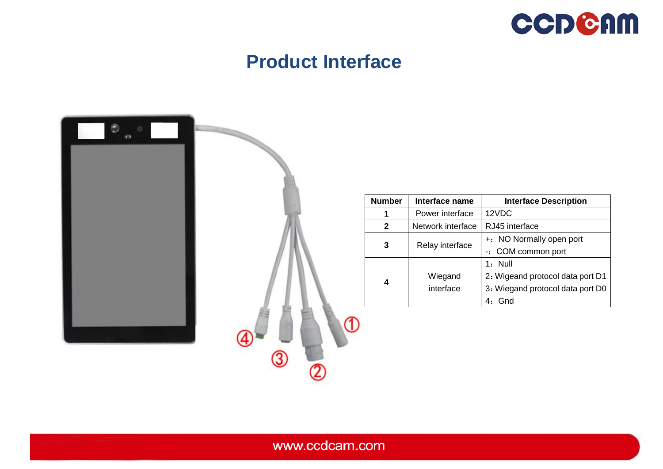

## **Product Interface**

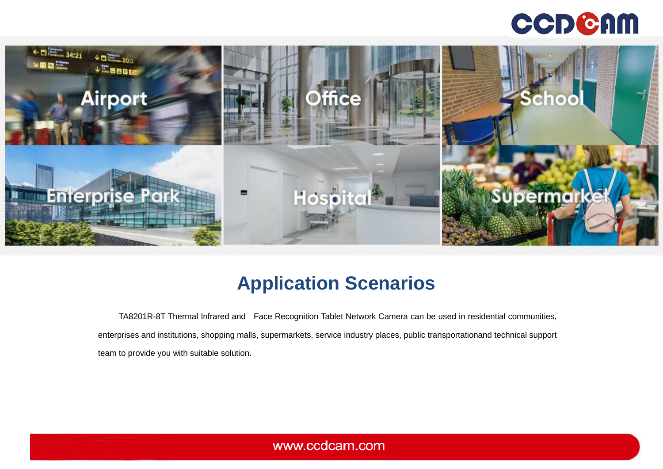# **CCDCAM**



# **Application Scenarios**

TA8201R-8T Thermal Infrared and Face Recognition Tablet Network Camera can be used in residential communities, enterprises and institutions, shopping malls, supermarkets, service industry places, public transportationand technical support team to provide you with suitable solution.